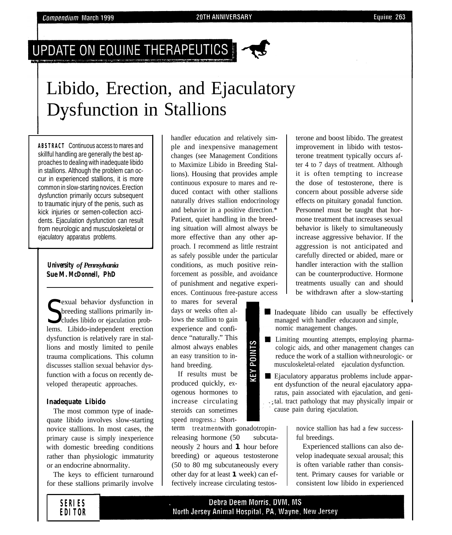### UPDATE ON EQUINE THERAPEUTICS



## Libido, Erection, and Ejaculatory Dysfunction in Stallions

**ABSTRACT** Continuous access to mares and skillful handling are generally the best approaches to dealing with inadequate libido in stallions. Although the problem can occur in experienced stallions, it is more common in slow-starting novices. Erection dysfunction primarily occurs subsequent to traumatic injury of the penis, such as kick injuries or semen-collection accidents. Ejaculation dysfunction can result from neurologic and musculoskeletal or ejaculatory apparatus problems.

#### *University of Pennsylvania Sue M. McDonnell, PhD*

Sexual behavior dystunction in<br>
Streeding stallions primarily in-<br>
lems. Libido-independent erection exual behavior dysfunction in breeding stallions primarily includes libido or ejaculation probdysfunction is relatively rare in stallions and mostly limited to penile trauma complications. This column discusses stallion sexual behavior dysfunction with a focus on recently developed therapeutic approaches.

#### **Inadequate Libido**

The most common type of inadequate libido involves slow-starting novice stallions. In most cases, the primary cause is simply inexperience with domestic breeding conditions rather than physiologic immaturity or an endocrine abnormality.

The keys to efficient turnaround for these stallions primarily involve

handler education and relatively simple and inexpensive management changes (see Management Conditions to Maximize Libido in Breeding Stallions). Housing that provides ample continuous exposure to mares and reduced contact with other stallions naturally drives stallion endocrinology and behavior in a positive direction.\* Patient, quiet handling in the breeding situation will almost always be more effective than any other approach. I recommend as little restraint as safely possible under the particular conditions, as much positive reinforcement as possible, and avoidance of punishment and negative experiences. Continuous free-pasture access

to mares for several days or weeks often allows the stallion to gain experience and confidence "naturally." This almost always enables an easy transition to inhand breeding.

If results must be produced quickly, exogenous hormones to increase circulating steroids can sometimes speed nrogress.2 Short-

term treatmentwith gonadotropinreleasing hormone (50 subcutaneously 2 hours and **1** hour before breeding) or aqueous testosterone (50 to 80 mg subcutaneously every other day for at least **1** week) can effectively increase circulating testosterone and boost libido. The greatest improvement in libido with testosterone treatment typically occurs after 4 to 7 days of treatment. Although it is often tempting to increase the dose of testosterone, there is concern about possible adverse side effects on pituitary gonadal function. Personnel must be taught that hormone treatment that increases sexual behavior is likely to simultaneously increase aggressive behavior. If the aggression is not anticipated and carefully directed or abided, mare or handler interaction with the stallion can be counterproductive. Hormone treatments usually can and should be withdrawn after a slow-starting

- Inadequate libido can usually be effectively managed with handler educauon and simple, nomic management changes.
- **Limiting mounting attempts, employing pharma**cologic aids, and other management changes can reduce the work of a stallion with neurologic- or musculoskeletal-related ejaculation dysfunction.
- Ejaculatory apparatus problems include apparent dysfunction of the neural ejaculatory apparatus, pain associated with ejaculation, and genital. tract pathology that may physically impair or cause pain during ejaculation.

novice stallion has had a few successful breedings.

Experienced stallions can also develop inadequate sexual arousal; this is often variable rather than consistent. Primary causes for variable or consistent low libido in experienced

#### **SERIES EDITOR**

#### Debra Deem Morris, DVM, MS North Jersey Animal Hospital, PA, Wayne, New Jersey

# S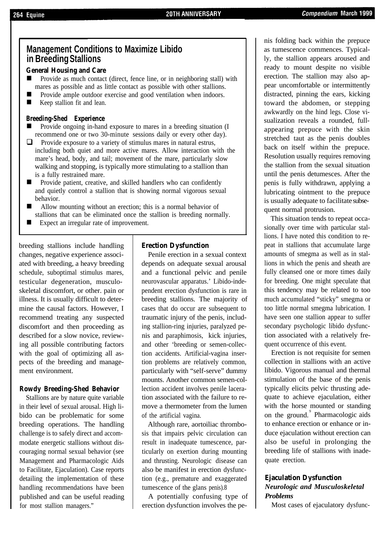#### **Management Conditions to Maximize Libido in Breeding Stallions**

#### **General Housing and Care**

- Provide as much contact (direct, fence line, or in neighboring stall) with mares as possible and as little contact as possible with other stallions.
- Provide ample outdoor exercise and good ventilation when indoors.
- **Now Keep stallion fit and lean.**

#### **Breeding-Shed Experience**

- Provide ongoing in-hand exposure to mares in a breeding situation (I recommend one or two 30-minute sessions daily or every other day).
- $\Box$  Provide exposure to a variety of stimulus mares in natural estrus, including both quiet and more active mares. Allow interaction with the mare's head, body, and tail; movement of the mare, particularly slow walking and stopping, is typically more stimulating to a stallion than is a fully restrained mare.
- Provide patient, creative, and skilled handlers who can confidently and quietly control a stallion that is showing normal vigorous sexual behavior.
- Allow mounting without an erection; this is a normal behavior of stallions that can be eliminated once the stallion is breeding normally.
- $\blacksquare$  Expect an irregular rate of improvement.

breeding stallions include handling changes, negative experience associated with breeding, a heavy breeding schedule, suboptimal stimulus mares, testicular degeneration, musculoskeletal discomfort, or other. pain or illness. It is usually difficult to determine the causal factors. However, I recommend treating any suspected discomfort and then proceeding as described for a slow novice, reviewing all possible contributing factors with the goal of optimizing all aspects of the breeding and management environment.

#### **Rowdy Breeding-Shed Behavior**

Stallions are by nature quite variable in their level of sexual arousal. High libido can be problematic for some breeding operations. The handling challenge is to safely direct and accommodate energetic stallions without discouraging normal sexual behavior (see Management and Pharmacologic Aids to Facilitate, Ejaculation). Case reports detailing the implementation of these handling recommendations have been published and can be useful reading for most stallion managers."

#### **Erection Dysfunction**

Penile erection in a sexual context depends on adequate sexual arousal and a functional pelvic and penile neurovascular apparatus.' Libido-independent erection dysfunction is rare in breeding stallions. The majority of cases that do occur are subsequent to traumatic injury of the penis, including stallion-ring injuries, paralyzed penis and paraphimosis, kick injuries, and other 'breeding or semen-collection accidents. Artificial-vagina insertion problems are relatively common, particularly with "self-serve" dummy mounts. Another common semen-collection accident involves penile laceration associated with the failure to remove a thermometer from the lumen of the artificial vagina.

Although rare, aortoiliac thrombosis that impairs pelvic circulation can result in inadequate tumescence, particularly on exertion during mounting and thrusting. Neurologic disease can also be manifest in erection dysfunction (e.g., premature and exaggerated tumescence of the glans penis).8

A potentially confusing type of erection dysfunction involves the penis folding back within the prepuce as tumescence commences. Typically, the stallion appears aroused and ready to mount despite no visible erection. The stallion may also appear uncomfortable or intermittently distracted, pinning the ears, kicking toward the abdomen, or stepping awkwardly on the hind legs. Close visualization reveals a rounded, fullappearing prepuce with the skin stretched taut as the penis doubles back on itself within the prepuce. Resolution usually requires removing the stallion from the sexual situation until the penis detumesces. After the penis is fully withdrawn, applying a lubricating ointment to the prepuce is usually adequate to facilitate subsequent normal protrusion.

This situation tends to repeat occasionally over time with particular stallions. I have noted this condition to repeat in stallions that accumulate large amounts of smegma as well as in stallions in which the penis and sheath are fully cleansed one or more times daily for breeding. One might speculate that this tendency may be related to too much accumulated "sticky" smegma or too little normal smegma lubrication. I have seen one stallion appear to suffer secondary psychologic libido dysfunction associated with a relatively frequent occurrence of this event.

Erection is not requisite for semen collection in stallions with an active libido. Vigorous manual and thermal stimulation of the base of the penis typically elicits pelvic thrusting adequate to achieve ejaculation, either with the horse mounted or standing on the ground.<sup>9</sup> Pharmacologic aids to enhance erection or enhance or induce ejaculation without erection can also be useful in prolonging the breeding life of stallions with inadequate erection.

#### **Ejaculation Dysfunction** *Neurologic and Musculoskeletal Problems*

Most cases of ejaculatory dysfunc-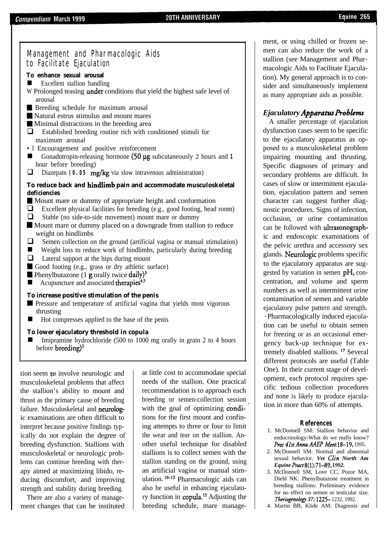#### Management and Pharmacologic Aids to Facilitate Ejaculation

#### **To enhance sexual arousal**

- $\blacksquare$  Excellent stallion handling
- W Prolonged teasing under conditions that yield the highest safe level of arousal
- **M** Breeding schedule for maximum arousal
- **M** Natural estrus stimulus and mount mares
- **Minimal distractions in the breeding area**
- $\Box$  Established breeding routine rich with conditioned stimuli for maximum arousal
- •l Encouragement and positive reinforcement
- hour before breeding) n Gonadotropin-releasing hormone (50 ug subcutaneously 2 hours and **1**
- **Q** Diazepam **(0.05 mg/kg** via slow intravenous administration)

#### **To reduce back and hindlimb pain and accommodate musculoskeletal deficiencies**

- W Mount mare or dummy of appropriate height and conformation
- $\Box$  Excellent physical facilities for breeding (e.g., good footing, head room)
- $\Box$  Stable (no side-to-side movement) mount mare or dummy
- **Mount mare or dummy placed on a downgrade from stallion to reduce** weight on hindlimbs
- $\Box$  Semen collection on the ground (artificial vagina or manual stimulation)
- $\blacksquare$  Weight loss to reduce work of hindlimbs, particularly during breeding
- $\Box$  Lateral support at the hips during mount
- **m** Good footing (e.g., grass or dry athletic surface)
- **m** Phenylbutazone (1 **g** orally twice daily)<sup>3</sup>
- $\blacksquare$  Acupuncture and associated therapies<sup>4,5</sup>

#### **To increase positive stimulation of the penis**

- **W** Pressure and temperature of artificial vagina that yields most vigorous thrusting
- Hot compresses applied to the base of the penis

#### **To lower ejaculatory threshold in copula**

n Imipramine hydrochloride (500 to 1000 mg orally in grain 2 to 4 hours before breeding)<sup>2</sup>

tion seem  $t$  involve neurologic and musculoskeletal problems that affect the stallion's ability to mount and thrust as the primary cause of breeding failure. Musculoskeletal and neurologic examinations are often difficult to interpret because positive findings typically do not explain the degree of breeding dysfunction. Stallions with musculoskeletal or neurologic problems can continue breeding with therapy aimed at maximizing libido, reducing discomfort, and improving strength and stability during breeding.

There are also a variety of management changes that can be instituted at little cost to accommodate special needs of the stallion. One practical recommendation is to approach each breeding or semen-collection session with the goal of optimizing **condi**tions for the first mount and confining attempts to three or four to limit the wear and tear on the stallion. Another useful technique for disabled stallions is to collect semen with the stallion standing on the ground, using an artificial vagina or manual stimulation.  $10-12$  Pharmacologic aids can also be useful in enhancing ejaculatory function in copula.'3 Adjusting the breeding schedule, mare management, or using chilled or frozen semen can also reduce the work of a stallion (see Management and Pharmacologic Aids to Facilitate Ejaculation). My general approach is to consider and simultaneously implement as many appropriate aids as possible.

#### *Ejaculatory Apparatw Probhms*

A smaller percentage of ejaculation dysfunction cases seem to be specific to the ejaculatory apparatus as opposed to a musculoskeletal problem impairing mounting and thrusting. Specific diagnoses of primary and secondary problems are difficult. In cases of slow or intermittent ejaculation, ejaculation pattern and semen character can suggest further diagnostic procedures. Signs of infection, occlusion, or urine contamination can be followed with ultrasonographic and endoscopic examinations of the pelvic urethra and accessory sex glands. Neurologic problems specific to the ejaculatory apparatus are suggested by variation in semen  $pH$ , concentration, and volume and sperm numbers as well as intermittent urine contamination of semen and variable ejaculatory pulse pattern and strength. \* Pharmacologically induced ejaculation can be useful to obtain semen for freezing or as an occasional emergency back-up technique for extremely disabled stallions.<sup>17</sup> Several different protocols are useful (Table One). In their current stage of development, each protocol requires specific tedious collection procedures and none is likely to produce ejaculation in more than 60% of attempts.

#### **References**

- 1. McDonnell SM: Stallion behavior and endocrinology-What do we really know? Proc 41st Annu AAEP Meet. 18-19, 1995.
- 2. McDonnell SM: Normal and abnormal sexual behavior. *Vet C/in North Am Equine Pract* 8(1):71-89, 1992.
- 3. McDonnell SM, Love CC, Pozor MA, Diehl NK: Phenylbutazone treatment in breeding stallions: Preliminary evidence for no effect on semen or testicular size. *Theriogenology 37:* 1225- 1232, 1992.
- 4. Martin BB, Klide AM: Diagnosis and